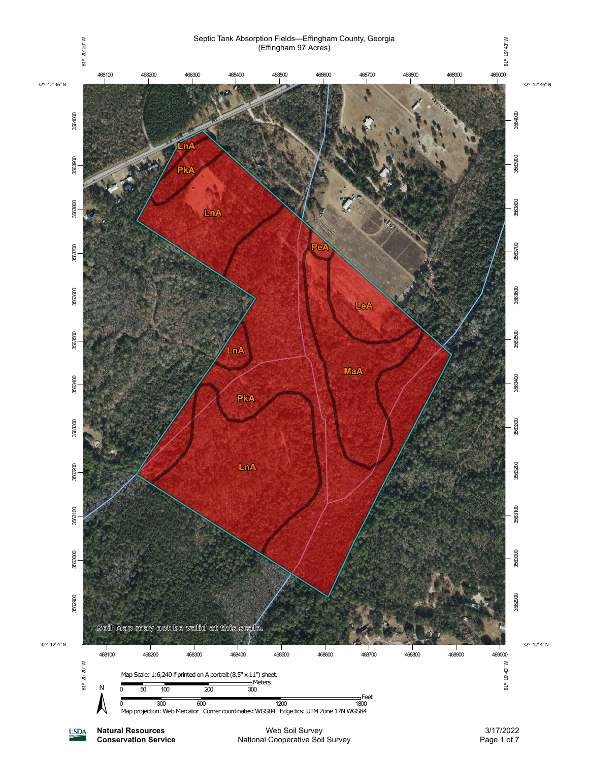

National Cooperative Soil Survey

**Conservation Service**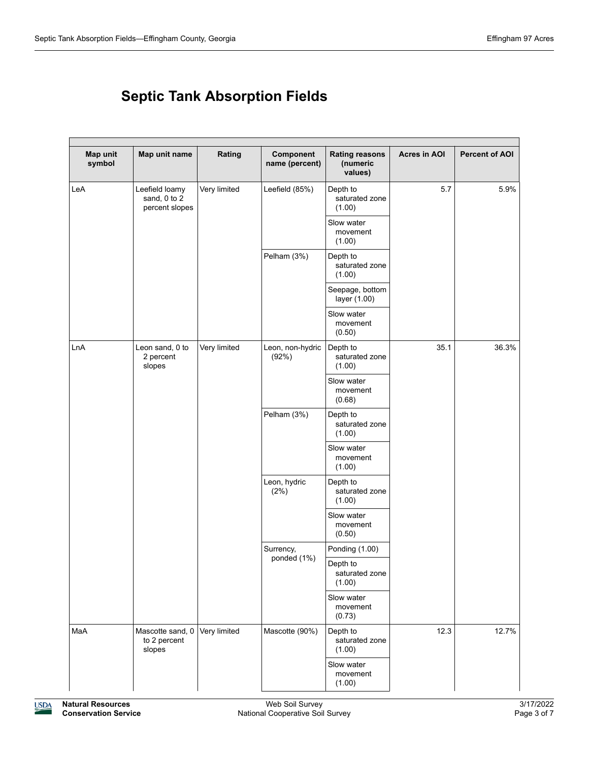## **Septic Tank Absorption Fields**

| Map unit<br>symbol | Map unit name                                    | Rating       | Component<br>name (percent) | <b>Rating reasons</b><br>(numeric<br>values) | <b>Acres in AOI</b> | <b>Percent of AOI</b> |
|--------------------|--------------------------------------------------|--------------|-----------------------------|----------------------------------------------|---------------------|-----------------------|
| LeA                | Leefield loamy<br>sand, 0 to 2<br>percent slopes | Very limited | Leefield (85%)              | Depth to<br>saturated zone<br>(1.00)         | 5.7                 | 5.9%                  |
|                    |                                                  |              |                             | Slow water<br>movement<br>(1.00)             |                     |                       |
|                    |                                                  |              | Pelham (3%)                 | Depth to<br>saturated zone<br>(1.00)         |                     |                       |
|                    |                                                  |              |                             | Seepage, bottom<br>layer (1.00)              |                     |                       |
|                    |                                                  |              |                             | Slow water<br>movement<br>(0.50)             |                     |                       |
| LnA                | Leon sand, 0 to<br>2 percent<br>slopes           | Very limited | Leon, non-hydric<br>(92%)   | Depth to<br>saturated zone<br>(1.00)         | 35.1                | 36.3%                 |
|                    |                                                  |              |                             | Slow water<br>movement<br>(0.68)             |                     |                       |
|                    |                                                  |              | Pelham (3%)                 | Depth to<br>saturated zone<br>(1.00)         |                     |                       |
|                    |                                                  |              |                             | Slow water<br>movement<br>(1.00)             |                     |                       |
|                    |                                                  |              | Leon, hydric<br>(2%)        | Depth to<br>saturated zone<br>(1.00)         |                     |                       |
|                    |                                                  |              |                             | Slow water<br>movement<br>(0.50)             |                     |                       |
|                    |                                                  |              | Surrency,<br>ponded (1%)    | Ponding (1.00)                               |                     |                       |
|                    |                                                  |              |                             | Depth to<br>saturated zone<br>(1.00)         |                     |                       |
|                    |                                                  |              |                             | Slow water<br>movement<br>(0.73)             |                     |                       |
| MaA                | Mascotte sand, 0<br>to 2 percent<br>slopes       | Very limited | Mascotte (90%)              | Depth to<br>saturated zone<br>(1.00)         | 12.3                | 12.7%                 |
|                    |                                                  |              |                             | Slow water<br>movement<br>(1.00)             |                     |                       |

**USDA**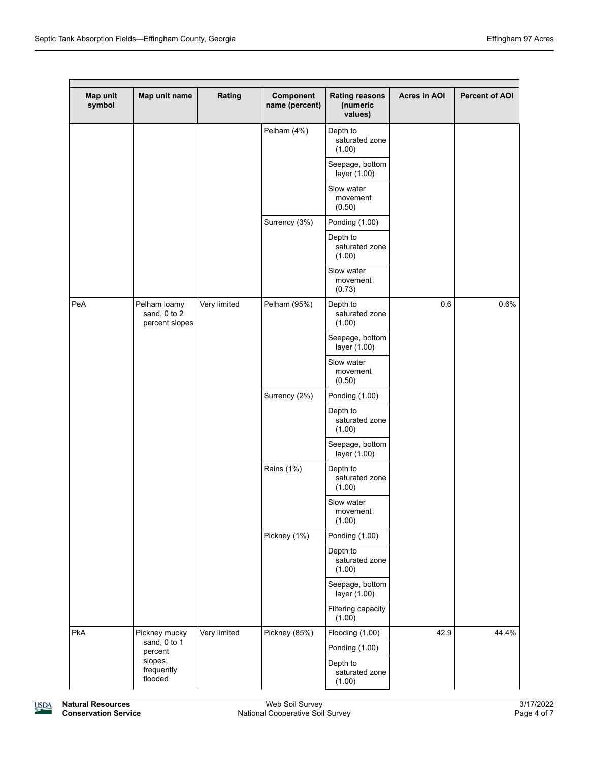| Map unit<br>symbol | Map unit name                                  | Rating                       | Component<br>name (percent) | <b>Rating reasons</b><br>(numeric<br>values) | <b>Acres in AOI</b> | <b>Percent of AOI</b> |
|--------------------|------------------------------------------------|------------------------------|-----------------------------|----------------------------------------------|---------------------|-----------------------|
|                    |                                                |                              | Pelham (4%)                 | Depth to<br>saturated zone<br>(1.00)         |                     |                       |
|                    |                                                |                              |                             | Seepage, bottom<br>layer (1.00)              |                     |                       |
|                    |                                                |                              |                             | Slow water<br>movement<br>(0.50)             |                     |                       |
|                    |                                                |                              | Surrency (3%)               | Ponding (1.00)                               |                     |                       |
|                    |                                                |                              |                             | Depth to<br>saturated zone<br>(1.00)         |                     |                       |
|                    |                                                |                              |                             | Slow water<br>movement<br>(0.73)             |                     |                       |
| PeA                | Pelham loamy<br>sand, 0 to 2<br>percent slopes | Very limited                 | Pelham (95%)                | Depth to<br>saturated zone<br>(1.00)         | 0.6                 | 0.6%                  |
|                    |                                                |                              |                             | Seepage, bottom<br>layer (1.00)              |                     |                       |
|                    |                                                |                              |                             | Slow water<br>movement<br>(0.50)             |                     |                       |
|                    |                                                |                              | Surrency (2%)               | Ponding (1.00)                               |                     |                       |
|                    |                                                |                              |                             | Depth to<br>saturated zone<br>(1.00)         |                     |                       |
|                    |                                                |                              |                             | Seepage, bottom<br>layer (1.00)              |                     |                       |
|                    |                                                |                              | Rains (1%)                  | Depth to<br>saturated zone<br>(1.00)         |                     |                       |
|                    |                                                |                              |                             | Slow water<br>movement<br>(1.00)             |                     |                       |
|                    |                                                |                              | Pickney (1%)                | Ponding (1.00)                               |                     |                       |
|                    |                                                |                              |                             | Depth to<br>saturated zone<br>(1.00)         |                     |                       |
|                    |                                                |                              |                             | Seepage, bottom<br>layer (1.00)              |                     |                       |
|                    |                                                |                              |                             | Filtering capacity<br>(1.00)                 |                     |                       |
| PkA                | Pickney mucky                                  | Very limited<br>sand, 0 to 1 | Pickney (85%)               | Flooding (1.00)                              | 42.9                | 44.4%                 |
|                    | percent                                        |                              |                             | Ponding (1.00)                               |                     |                       |
|                    | slopes,<br>frequently<br>flooded               |                              |                             | Depth to<br>saturated zone<br>(1.00)         |                     |                       |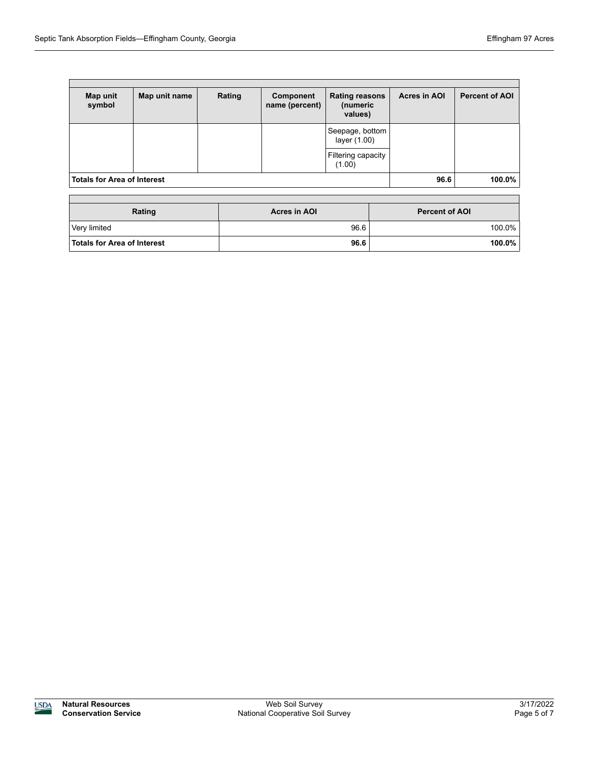Г

| Map unit<br>symbol                 | Map unit name | Rating | Component<br>name (percent) | <b>Rating reasons</b><br>(numeric<br>values) | <b>Acres in AOI</b> | <b>Percent of AOI</b> |
|------------------------------------|---------------|--------|-----------------------------|----------------------------------------------|---------------------|-----------------------|
|                                    |               |        |                             | Seepage, bottom<br>layer (1.00)              |                     |                       |
|                                    |               |        |                             | Filtering capacity<br>(1.00)                 |                     |                       |
| <b>Totals for Area of Interest</b> |               |        |                             | 96.6                                         | 100.0%              |                       |

| Rating                             | Acres in AOI | <b>Percent of AOI</b> |  |
|------------------------------------|--------------|-----------------------|--|
| Very limited                       | 96.6         | 100.0%                |  |
| <b>Totals for Area of Interest</b> | 96.6         | $100.0\%$             |  |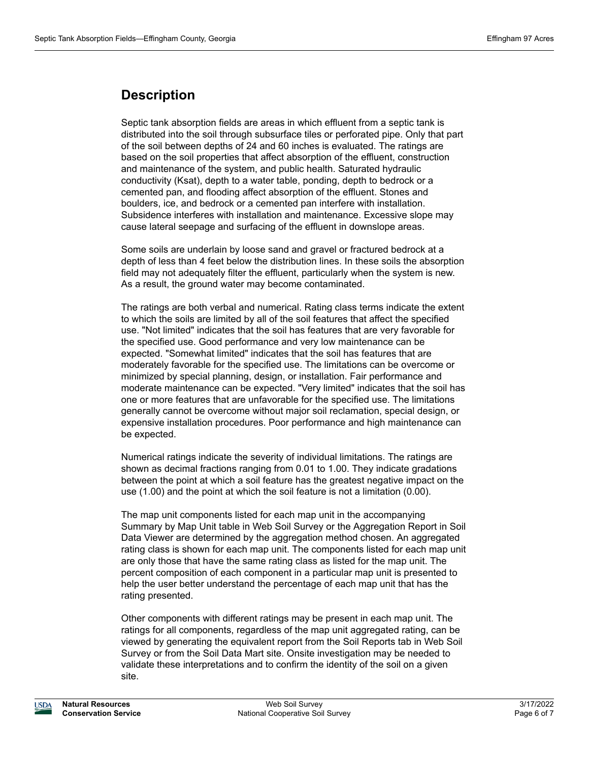## **Description**

Septic tank absorption fields are areas in which effluent from a septic tank is distributed into the soil through subsurface tiles or perforated pipe. Only that part of the soil between depths of 24 and 60 inches is evaluated. The ratings are based on the soil properties that affect absorption of the effluent, construction and maintenance of the system, and public health. Saturated hydraulic conductivity (Ksat), depth to a water table, ponding, depth to bedrock or a cemented pan, and flooding affect absorption of the effluent. Stones and boulders, ice, and bedrock or a cemented pan interfere with installation. Subsidence interferes with installation and maintenance. Excessive slope may cause lateral seepage and surfacing of the effluent in downslope areas.

Some soils are underlain by loose sand and gravel or fractured bedrock at a depth of less than 4 feet below the distribution lines. In these soils the absorption field may not adequately filter the effluent, particularly when the system is new. As a result, the ground water may become contaminated.

The ratings are both verbal and numerical. Rating class terms indicate the extent to which the soils are limited by all of the soil features that affect the specified use. "Not limited" indicates that the soil has features that are very favorable for the specified use. Good performance and very low maintenance can be expected. "Somewhat limited" indicates that the soil has features that are moderately favorable for the specified use. The limitations can be overcome or minimized by special planning, design, or installation. Fair performance and moderate maintenance can be expected. "Very limited" indicates that the soil has one or more features that are unfavorable for the specified use. The limitations generally cannot be overcome without major soil reclamation, special design, or expensive installation procedures. Poor performance and high maintenance can be expected.

Numerical ratings indicate the severity of individual limitations. The ratings are shown as decimal fractions ranging from 0.01 to 1.00. They indicate gradations between the point at which a soil feature has the greatest negative impact on the use (1.00) and the point at which the soil feature is not a limitation (0.00).

The map unit components listed for each map unit in the accompanying Summary by Map Unit table in Web Soil Survey or the Aggregation Report in Soil Data Viewer are determined by the aggregation method chosen. An aggregated rating class is shown for each map unit. The components listed for each map unit are only those that have the same rating class as listed for the map unit. The percent composition of each component in a particular map unit is presented to help the user better understand the percentage of each map unit that has the rating presented.

Other components with different ratings may be present in each map unit. The ratings for all components, regardless of the map unit aggregated rating, can be viewed by generating the equivalent report from the Soil Reports tab in Web Soil Survey or from the Soil Data Mart site. Onsite investigation may be needed to validate these interpretations and to confirm the identity of the soil on a given site.